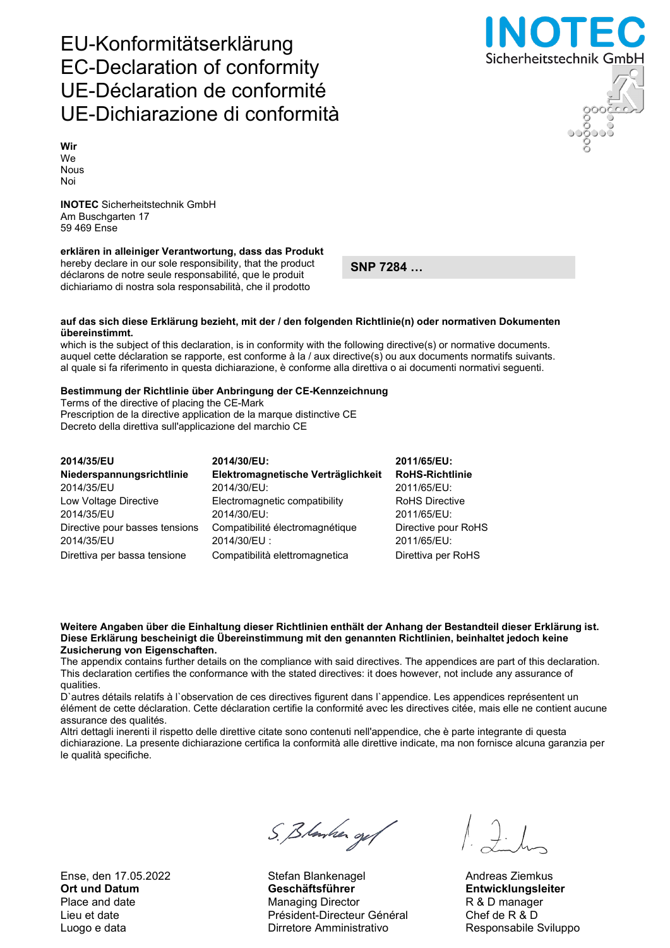Ense, den 17.05.2022 Stefan Blankenagel Andreas Ziemkus

# S. Blanker og f

Ort und Datum Geschäftsführer Entwicklungsleiter Place and date **Managing Director** R & D manager Lieu et date Président-Directeur Général Chef de R & D Luogo e data **Nicolas Construction Construction Construction** Responsabile Sviluppo

Sicherheitstechnik GmbH

## EU-Konformitätserklärung EC-Declaration of conformity UE-Déclaration de conformité UE-Dichiarazione di conformità

Wir We Nous Noi

INOTEC Sicherheitstechnik GmbH Am Buschgarten 17 59 469 Ense

### erklären in alleiniger Verantwortung, dass das Produkt

hereby declare in our sole responsibility, that the product déclarons de notre seule responsabilité, que le produit dichiariamo di nostra sola responsabilità, che il prodotto

SNP 7284 …

#### auf das sich diese Erklärung bezieht, mit der / den folgenden Richtlinie(n) oder normativen Dokumenten übereinstimmt.

which is the subject of this declaration, is in conformity with the following directive(s) or normative documents. auquel cette déclaration se rapporte, est conforme à la / aux directive(s) ou aux documents normatifs suivants. al quale si fa riferimento in questa dichiarazione, è conforme alla direttiva o ai documenti normativi seguenti.

#### Bestimmung der Richtlinie über Anbringung der CE-Kennzeichnung

Terms of the directive of placing the CE-Mark Prescription de la directive application de la marque distinctive CE Decreto della direttiva sull'applicazione del marchio CE

| 2014/35/EU                     | 2014/30/EU:                        | 2011/65/EU:            |
|--------------------------------|------------------------------------|------------------------|
| Niederspannungsrichtlinie      | Elektromagnetische Verträglichkeit | <b>RoHS-Richtlinie</b> |
| 2014/35/EU                     | 2014/30/EU:                        | 2011/65/EU:            |
| Low Voltage Directive          | Electromagnetic compatibility      | <b>RoHS Directive</b>  |
| 2014/35/EU                     | 2014/30/EU:                        | 2011/65/EU:            |
| Directive pour basses tensions | Compatibilité électromagnétique    | Directive pour RoHS    |
| 2014/35/EU                     | 2014/30/EU:                        | 2011/65/EU:            |
| Direttiva per bassa tensione   | Compatibilità elettromagnetica     | Direttiva per RoHS     |

#### Weitere Angaben über die Einhaltung dieser Richtlinien enthält der Anhang der Bestandteil dieser Erklärung ist. Diese Erklärung bescheinigt die Übereinstimmung mit den genannten Richtlinien, beinhaltet jedoch keine Zusicherung von Eigenschaften.

The appendix contains further details on the compliance with said directives. The appendices are part of this declaration. This declaration certifies the conformance with the stated directives: it does however, not include any assurance of qualities.

D`autres détails relatifs à l`observation de ces directives figurent dans l`appendice. Les appendices représentent un élément de cette déclaration. Cette déclaration certifie la conformité avec les directives citée, mais elle ne contient aucune assurance des qualités.

Altri dettagli inerenti il rispetto delle direttive citate sono contenuti nell'appendice, che è parte integrante di questa dichiarazione. La presente dichiarazione certifica la conformità alle direttive indicate, ma non fornisce alcuna garanzia per le qualità specifiche.